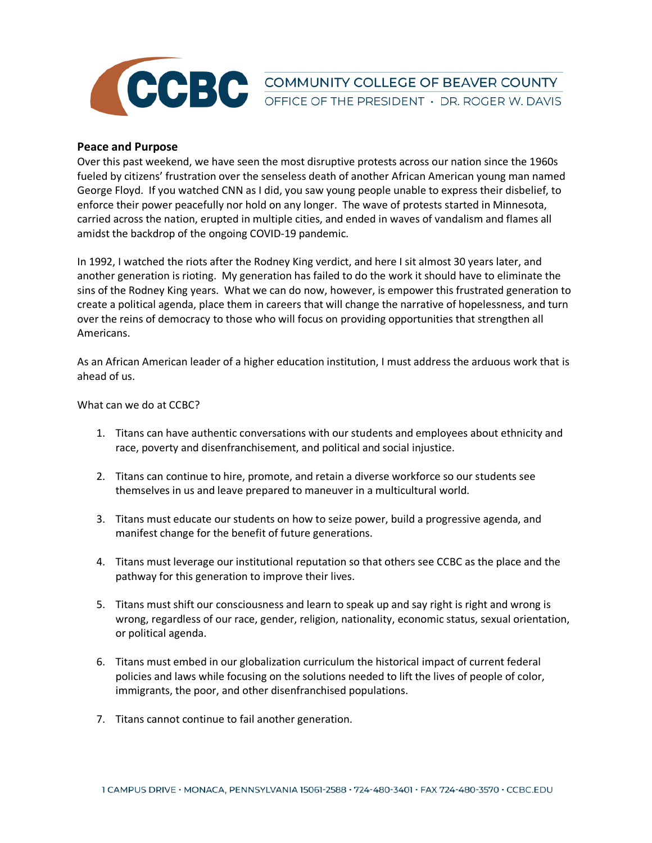

**CCBC** COMMUNITY COLLEGE OF BEAVER COUNTY

## **Peace and Purpose**

Over this past weekend, we have seen the most disruptive protests across our nation since the 1960s fueled by citizens' frustration over the senseless death of another African American young man named George Floyd. If you watched CNN as I did, you saw young people unable to express their disbelief, to enforce their power peacefully nor hold on any longer. The wave of protests started in Minnesota, carried across the nation, erupted in multiple cities, and ended in waves of vandalism and flames all amidst the backdrop of the ongoing COVID-19 pandemic.

In 1992, I watched the riots after the Rodney King verdict, and here I sit almost 30 years later, and another generation is rioting. My generation has failed to do the work it should have to eliminate the sins of the Rodney King years. What we can do now, however, is empower this frustrated generation to create a political agenda, place them in careers that will change the narrative of hopelessness, and turn over the reins of democracy to those who will focus on providing opportunities that strengthen all Americans.

As an African American leader of a higher education institution, I must address the arduous work that is ahead of us.

What can we do at CCBC?

- 1. Titans can have authentic conversations with our students and employees about ethnicity and race, poverty and disenfranchisement, and political and social injustice.
- 2. Titans can continue to hire, promote, and retain a diverse workforce so our students see themselves in us and leave prepared to maneuver in a multicultural world.
- 3. Titans must educate our students on how to seize power, build a progressive agenda, and manifest change for the benefit of future generations.
- 4. Titans must leverage our institutional reputation so that others see CCBC as the place and the pathway for this generation to improve their lives.
- 5. Titans must shift our consciousness and learn to speak up and say right is right and wrong is wrong, regardless of our race, gender, religion, nationality, economic status, sexual orientation, or political agenda.
- 6. Titans must embed in our globalization curriculum the historical impact of current federal policies and laws while focusing on the solutions needed to lift the lives of people of color, immigrants, the poor, and other disenfranchised populations.
- 7. Titans cannot continue to fail another generation.